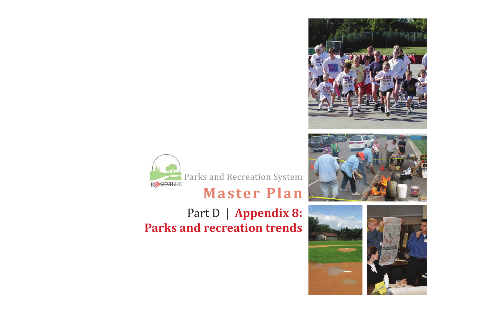



# **Master Plan**

## Part D | Appendix 8: **Parks and recreation trends**





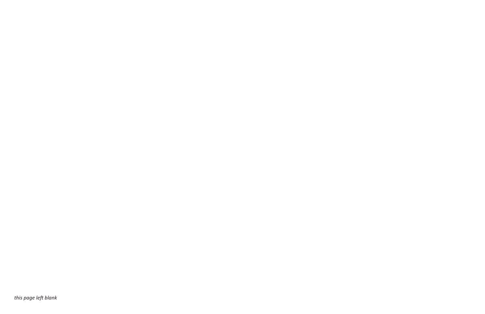*this page le blank*